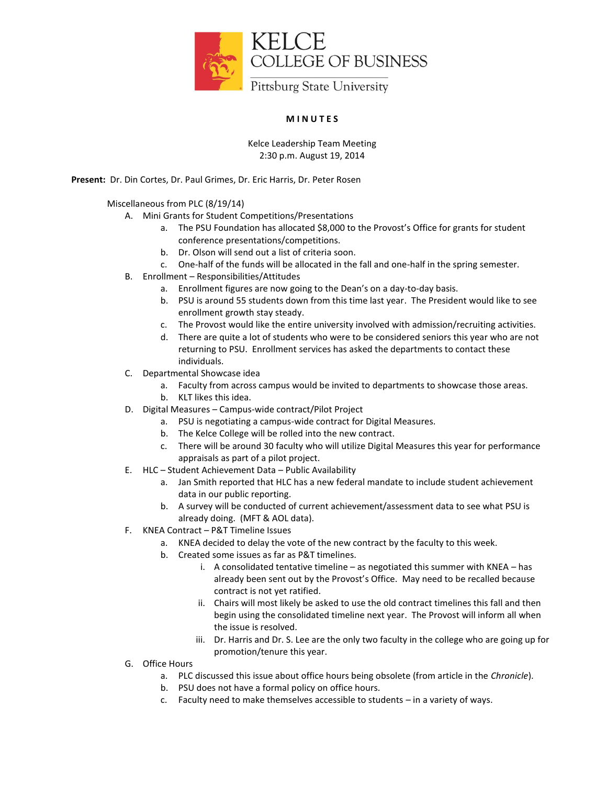

## **M I N U T E S**

## Kelce Leadership Team Meeting 2:30 p.m. August 19, 2014

**Present:** Dr. Din Cortes, Dr. Paul Grimes, Dr. Eric Harris, Dr. Peter Rosen

## Miscellaneous from PLC (8/19/14)

- A. Mini Grants for Student Competitions/Presentations
	- a. The PSU Foundation has allocated \$8,000 to the Provost's Office for grants for student conference presentations/competitions.
	- b. Dr. Olson will send out a list of criteria soon.
	- c. One-half of the funds will be allocated in the fall and one-half in the spring semester.
- B. Enrollment Responsibilities/Attitudes
	- a. Enrollment figures are now going to the Dean's on a day-to-day basis.
	- b. PSU is around 55 students down from this time last year. The President would like to see enrollment growth stay steady.
	- c. The Provost would like the entire university involved with admission/recruiting activities.
	- d. There are quite a lot of students who were to be considered seniors this year who are not returning to PSU. Enrollment services has asked the departments to contact these individuals.
- C. Departmental Showcase idea
	- a. Faculty from across campus would be invited to departments to showcase those areas.
	- b. KLT likes this idea.
- D. Digital Measures Campus-wide contract/Pilot Project
	- a. PSU is negotiating a campus-wide contract for Digital Measures.
	- b. The Kelce College will be rolled into the new contract.
	- c. There will be around 30 faculty who will utilize Digital Measures this year for performance appraisals as part of a pilot project.
- E. HLC Student Achievement Data Public Availability
	- a. Jan Smith reported that HLC has a new federal mandate to include student achievement data in our public reporting.
	- b. A survey will be conducted of current achievement/assessment data to see what PSU is already doing. (MFT & AOL data).
- F. KNEA Contract P&T Timeline Issues
	- a. KNEA decided to delay the vote of the new contract by the faculty to this week.
	- b. Created some issues as far as P&T timelines.
		- i. A consolidated tentative timeline as negotiated this summer with KNEA has already been sent out by the Provost's Office. May need to be recalled because contract is not yet ratified.
		- ii. Chairs will most likely be asked to use the old contract timelines this fall and then begin using the consolidated timeline next year. The Provost will inform all when the issue is resolved.
		- iii. Dr. Harris and Dr. S. Lee are the only two faculty in the college who are going up for promotion/tenure this year.
- G. Office Hours
	- a. PLC discussed this issue about office hours being obsolete (from article in the *Chronicle*).
	- b. PSU does not have a formal policy on office hours.
	- c. Faculty need to make themselves accessible to students in a variety of ways.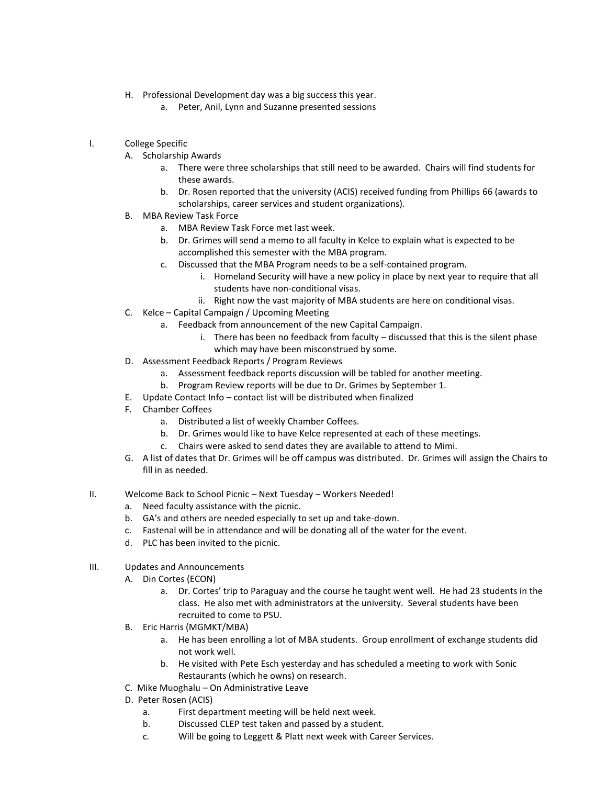- H. Professional Development day was a big success this year.
	- a. Peter, Anil, Lynn and Suzanne presented sessions
- I. College Specific
	- A. Scholarship Awards
		- a. There were three scholarships that still need to be awarded. Chairs will find students for these awards.
		- b. Dr. Rosen reported that the university (ACIS) received funding from Phillips 66 (awards to scholarships, career services and student organizations).
	- B. MBA Review Task Force
		- a. MBA Review Task Force met last week.
		- b. Dr. Grimes will send a memo to all faculty in Kelce to explain what is expected to be accomplished this semester with the MBA program.
		- c. Discussed that the MBA Program needs to be a self-contained program.
			- i. Homeland Security will have a new policy in place by next year to require that all students have non-conditional visas.
			- ii. Right now the vast majority of MBA students are here on conditional visas.
	- C. Kelce Capital Campaign / Upcoming Meeting
		- a. Feedback from announcement of the new Capital Campaign.
			- i. There has been no feedback from faculty  $-$  discussed that this is the silent phase which may have been misconstrued by some.
	- D. Assessment Feedback Reports / Program Reviews
		- a. Assessment feedback reports discussion will be tabled for another meeting.
		- b. Program Review reports will be due to Dr. Grimes by September 1.
	- E. Update Contact Info contact list will be distributed when finalized
	- F. Chamber Coffees
		- a. Distributed a list of weekly Chamber Coffees.
		- b. Dr. Grimes would like to have Kelce represented at each of these meetings.
		- c. Chairs were asked to send dates they are available to attend to Mimi.
	- G. A list of dates that Dr. Grimes will be off campus was distributed. Dr. Grimes will assign the Chairs to fill in as needed.
- II. Welcome Back to School Picnic Next Tuesday Workers Needed!
	- a. Need faculty assistance with the picnic.
	- b. GA's and others are needed especially to set up and take-down.
	- c. Fastenal will be in attendance and will be donating all of the water for the event.
	- d. PLC has been invited to the picnic.
- III. Updates and Announcements
	- A. Din Cortes (ECON)
		- a. Dr. Cortes' trip to Paraguay and the course he taught went well. He had 23 students in the class. He also met with administrators at the university. Several students have been recruited to come to PSU.
	- B. Eric Harris (MGMKT/MBA)
		- a. He has been enrolling a lot of MBA students. Group enrollment of exchange students did not work well.
		- b. He visited with Pete Esch yesterday and has scheduled a meeting to work with Sonic Restaurants (which he owns) on research.
	- C. Mike Muoghalu On Administrative Leave
	- D. Peter Rosen (ACIS)
		- a. First department meeting will be held next week.
		- b. Discussed CLEP test taken and passed by a student.
		- c. Will be going to Leggett & Platt next week with Career Services.